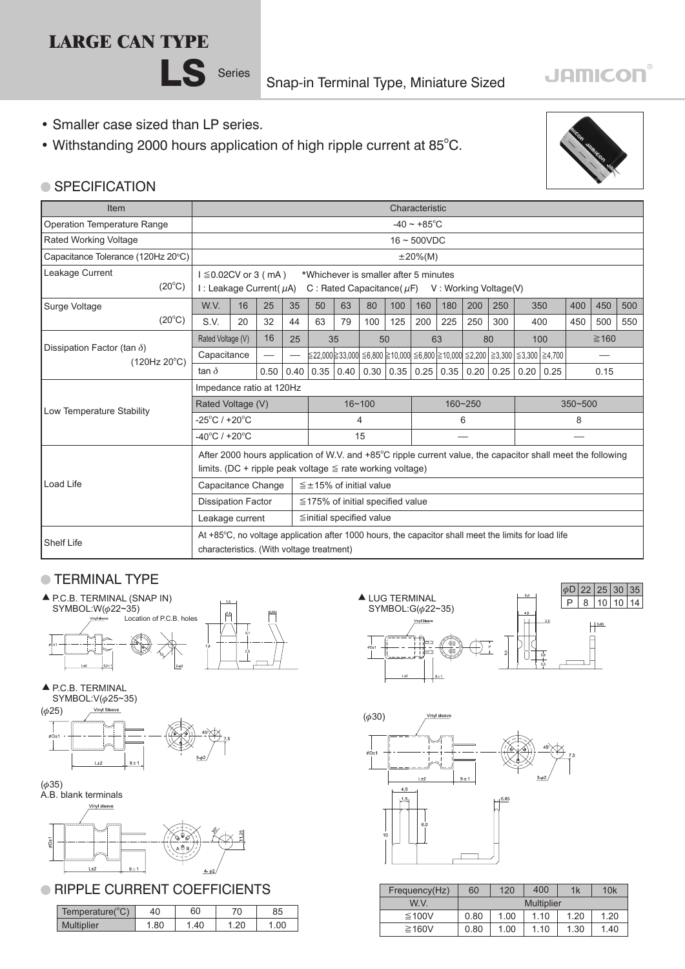# **LARGE CAN TYPE**



Snap-in Terminal Type, Miniature Sized

## • Smaller case sized than LP series.

• Withstanding 2000 hours application of high ripple current at 85°C.



**JAMICON®** 

# ● SPECIFICATION

| Item                                               |                                                                                                                                                   |                                                                                                                                                                |    |      |                                |                                        |             |     | Characteristic    |                          |                                  |     |      |     |                                                                                                                                       |            |     |     |
|----------------------------------------------------|---------------------------------------------------------------------------------------------------------------------------------------------------|----------------------------------------------------------------------------------------------------------------------------------------------------------------|----|------|--------------------------------|----------------------------------------|-------------|-----|-------------------|--------------------------|----------------------------------|-----|------|-----|---------------------------------------------------------------------------------------------------------------------------------------|------------|-----|-----|
| Operation Temperature Range                        |                                                                                                                                                   |                                                                                                                                                                |    |      |                                |                                        |             |     |                   | $-40 \sim +85^{\circ}$ C |                                  |     |      |     |                                                                                                                                       |            |     |     |
| Rated Working Voltage                              |                                                                                                                                                   |                                                                                                                                                                |    |      |                                |                                        |             |     | $16 \sim 500$ VDC |                          |                                  |     |      |     |                                                                                                                                       |            |     |     |
| Capacitance Tolerance (120Hz 20°C)                 |                                                                                                                                                   |                                                                                                                                                                |    |      |                                |                                        |             |     | $\pm 20\%$ (M)    |                          |                                  |     |      |     |                                                                                                                                       |            |     |     |
| Leakage Current                                    | $(20^{\circ}C)$                                                                                                                                   | $1 \leq 0.02$ CV or 3 (mA)<br>*Whichever is smaller after 5 minutes<br>I : Leakage Current $(\mu A)$<br>C: Rated Capacitance ( $\mu$ F) V: Working Voltage (V) |    |      |                                |                                        |             |     |                   |                          |                                  |     |      |     |                                                                                                                                       |            |     |     |
| Surge Voltage                                      |                                                                                                                                                   | W.V.                                                                                                                                                           | 16 | 25   | 35                             | 50                                     | 63          | 80  | 100               | 160                      | 180                              | 200 | 250  |     | 350                                                                                                                                   | 400        | 450 | 500 |
|                                                    | $(20^{\circ}C)$                                                                                                                                   | S.V.                                                                                                                                                           | 20 | 32   | 44                             | 63                                     | 79          | 100 | 125               | 200                      | 225                              | 250 | 300  | 400 |                                                                                                                                       | 450        | 500 | 550 |
| Dissipation Factor (tan $\delta$ )<br>(120Hz 20°C) |                                                                                                                                                   | Rated Voltage (V)                                                                                                                                              |    | 16   | 25                             | 35                                     |             | 50  |                   | 63                       |                                  | 80  |      | 100 |                                                                                                                                       | $\geq 160$ |     |     |
|                                                    |                                                                                                                                                   | Capacitance                                                                                                                                                    |    |      |                                |                                        |             |     |                   |                          |                                  |     |      |     | $\leq$ 22,000 $\geq$ 33,000 $\leq$ 6,800 $\geq$ 10,000 $\leq$ 6,800 $\geq$ 10,000 $\leq$ 2,200 $\leq$ 3,300 $\leq$ 3,300 $\leq$ 4,700 |            |     |     |
|                                                    |                                                                                                                                                   | tan $\delta$                                                                                                                                                   |    | 0.50 | 0.40                           |                                        | $0.35$ 0.40 |     |                   |                          | 0.30   0.35   0.25   0.35   0.20 |     | 0.25 |     | 0.20   0.25                                                                                                                           | 0.15       |     |     |
|                                                    |                                                                                                                                                   | Impedance ratio at 120Hz                                                                                                                                       |    |      |                                |                                        |             |     |                   |                          |                                  |     |      |     |                                                                                                                                       |            |     |     |
| Low Temperature Stability                          |                                                                                                                                                   | Rated Voltage (V)                                                                                                                                              |    |      | $16 - 100$                     |                                        |             |     | 160~250           |                          | $350 - 500$                      |     |      |     |                                                                                                                                       |            |     |     |
|                                                    |                                                                                                                                                   | $-25^{\circ}$ C / +20 $^{\circ}$ C                                                                                                                             |    |      |                                | 4                                      |             |     |                   | 6                        |                                  |     | 8    |     |                                                                                                                                       |            |     |     |
|                                                    |                                                                                                                                                   | $-40^{\circ}$ C / +20 $^{\circ}$ C                                                                                                                             |    |      |                                | 15                                     |             |     |                   |                          |                                  |     |      |     |                                                                                                                                       |            |     |     |
|                                                    |                                                                                                                                                   | After 2000 hours application of W.V. and +85°C ripple current value, the capacitor shall meet the following                                                    |    |      |                                |                                        |             |     |                   |                          |                                  |     |      |     |                                                                                                                                       |            |     |     |
|                                                    |                                                                                                                                                   | limits. (DC + ripple peak voltage $\leq$ rate working voltage)                                                                                                 |    |      |                                |                                        |             |     |                   |                          |                                  |     |      |     |                                                                                                                                       |            |     |     |
| Load Life                                          |                                                                                                                                                   | Capacitance Change                                                                                                                                             |    |      |                                | $\leq \pm 15\%$ of initial value       |             |     |                   |                          |                                  |     |      |     |                                                                                                                                       |            |     |     |
|                                                    |                                                                                                                                                   | <b>Dissipation Factor</b>                                                                                                                                      |    |      |                                | $\leq$ 175% of initial specified value |             |     |                   |                          |                                  |     |      |     |                                                                                                                                       |            |     |     |
|                                                    | Leakage current                                                                                                                                   |                                                                                                                                                                |    |      | $\leq$ initial specified value |                                        |             |     |                   |                          |                                  |     |      |     |                                                                                                                                       |            |     |     |
| Shelf Life                                         | At +85°C, no voltage application after 1000 hours, the capacitor shall meet the limits for load life<br>characteristics. (With voltage treatment) |                                                                                                                                                                |    |      |                                |                                        |             |     |                   |                          |                                  |     |      |     |                                                                                                                                       |            |     |     |

### **TERMINAL TYPE**



 $\triangle$  P.C.B. TERMINAL



 $(6, 35)$ 

A.B. blank terminals Vinyl sleeve



**RIPPLE CURRENT COEFFICIENTS** 

| Temperature( $^{\circ}$ C) |     | 60 |     | 85 |
|----------------------------|-----|----|-----|----|
| <b>Multiplier</b>          | .80 | 40 | .20 |    |





|      | Frequency(Hz) | 60   | 120  | 400               | 1k   | 10k  |
|------|---------------|------|------|-------------------|------|------|
|      | W.V.          |      |      | <b>Multiplier</b> |      |      |
| 85   | ≤100V         | 0.80 | 1.00 | 1.10              | 1.20 | 1.20 |
| 1.00 | $\geq$ 160V   | 0.80 | 1.00 | .10               | .30  | 1.40 |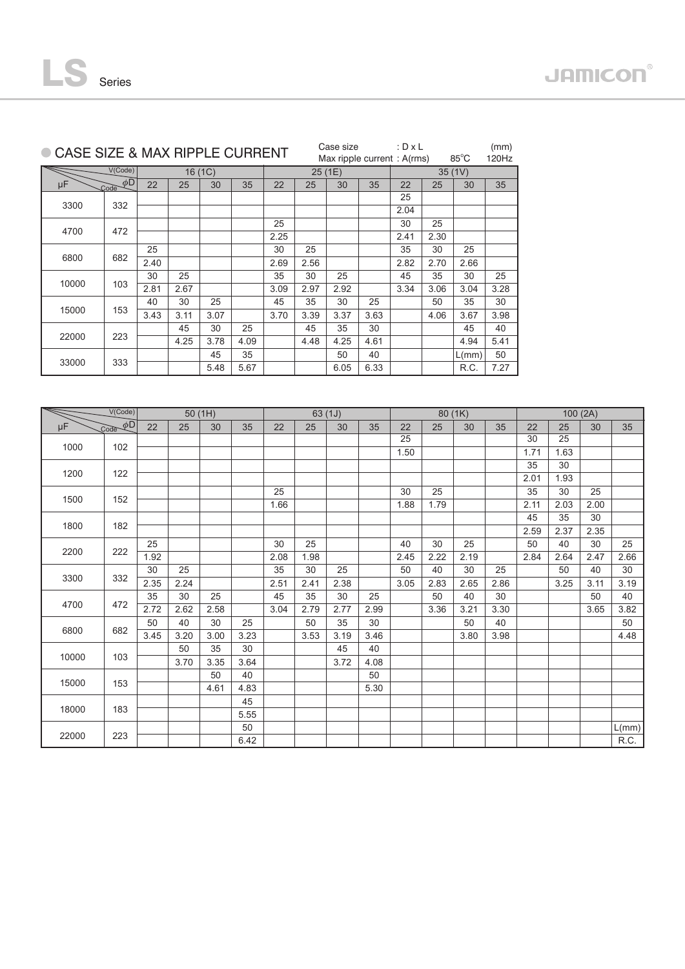25 2.66 30 3.19 40 3.82 50 4.48

 $\boxed{\mathsf{L}(mm)}$  $R.C.$ 

| ● CASE SIZE & MAX RIPPLE CURRENT |                                                |                 |      |         |      |                 |      | Case size | Max ripple current: A(rms) | : $D \times L$ |      | $85^{\circ}$ C | (mm)<br>120Hz |      |         |      |                |
|----------------------------------|------------------------------------------------|-----------------|------|---------|------|-----------------|------|-----------|----------------------------|----------------|------|----------------|---------------|------|---------|------|----------------|
|                                  | V(Code)                                        |                 |      | 16 (1C) |      |                 |      | 25 (1E)   |                            |                |      | 35(1V)         |               |      |         |      |                |
| μF                               | $\overline{\mathcal{L}ode}$ $\phi\overline{D}$ | 22              | 25   | 30      | 35   | 22              | 25   | 30        | 35                         | 22             | 25   | 30             | 35            |      |         |      |                |
|                                  |                                                |                 |      |         |      |                 |      |           |                            | 25             |      |                |               |      |         |      |                |
| 3300                             | 332                                            |                 |      |         |      |                 |      |           |                            | 2.04           |      |                |               |      |         |      |                |
|                                  |                                                |                 |      |         |      | 25              |      |           |                            | 30             | 25   |                |               |      |         |      |                |
| 4700                             | 472                                            |                 |      |         |      | 2.25            |      |           |                            | 2.41           | 2.30 |                |               |      |         |      |                |
|                                  |                                                | 25              |      |         |      | 30              | 25   |           |                            | 35             | 30   | 25             |               |      |         |      |                |
| 6800                             | 682                                            | 2.40            |      |         |      | 2.69            | 2.56 |           |                            | 2.82           | 2.70 | 2.66           |               |      |         |      |                |
|                                  |                                                | $\overline{30}$ | 25   |         |      | $\overline{35}$ | 30   | 25        |                            | 45             | 35   | 30             | 25            |      |         |      |                |
| 10000                            | 103                                            | 2.81            | 2.67 |         |      | 3.09            | 2.97 | 2.92      |                            | 3.34           | 3.06 | 3.04           | 3.28          |      |         |      |                |
|                                  |                                                | 40              | 30   | 25      |      | 45              | 35   | 30        | 25                         |                | 50   | 35             | 30            |      |         |      |                |
| 15000                            | 153                                            | 3.43            | 3.11 | 3.07    |      | 3.70            | 3.39 | 3.37      | 3.63                       |                | 4.06 | 3.67           | 3.98          |      |         |      |                |
|                                  |                                                |                 | 45   | 30      | 25   |                 | 45   | 35        | 30                         |                |      | 45             | 40            |      |         |      |                |
| 22000                            | 223                                            |                 | 4.25 | 3.78    | 4.09 |                 | 4.48 | 4.25      | 4.61                       |                |      | 4.94           | 5.41          |      |         |      |                |
|                                  |                                                |                 |      | 45      | 35   |                 |      | 50        | 40                         |                |      | L(mm)          | 50            |      |         |      |                |
| 33000                            | 333                                            |                 |      | 5.48    | 5.67 |                 |      | 6.05      | 6.33                       |                |      | R.C.           | 7.27          |      |         |      |                |
|                                  |                                                |                 |      |         |      |                 |      |           |                            |                |      |                |               |      |         |      |                |
|                                  |                                                |                 |      |         |      |                 |      |           |                            |                |      |                |               |      |         |      |                |
|                                  | V(Code)                                        | 50(1H)          |      |         |      |                 |      | 63(1J)    |                            |                |      | 80 (1K)        |               |      | 100(2A) |      |                |
| μF                               | $\overline{\text{Code }} \phi$ D               | 22              | 25   | 30      | 35   | 22              | 25   | 30        | 35                         | 22             | 25   | 30             | 35            | 22   | 25      | 30   | 35             |
| 1000                             | 102                                            |                 |      |         |      |                 |      |           |                            | 25             |      |                |               | 30   | 25      |      |                |
|                                  |                                                |                 |      |         |      |                 |      |           |                            | 1.50           |      |                |               | 1.71 | 1.63    |      |                |
| 1200                             | 122                                            |                 |      |         |      |                 |      |           |                            |                |      |                |               | 35   | 30      |      |                |
|                                  |                                                |                 |      |         |      |                 |      |           |                            |                |      |                |               | 2.01 | 1.93    |      |                |
| 1500                             | 152                                            |                 |      |         |      | 25              |      |           |                            | 30             | 25   |                |               | 35   | 30      | 25   |                |
|                                  |                                                |                 |      |         |      | 1.66            |      |           |                            | 1.88           | 1.79 |                |               | 2.11 | 2.03    | 2.00 |                |
| 1800                             | 182                                            |                 |      |         |      |                 |      |           |                            |                |      |                |               | 45   | 35      | 30   |                |
|                                  |                                                |                 |      |         |      |                 |      |           |                            |                |      |                |               | 2.59 | 2.37    | 2.35 |                |
|                                  |                                                | 25              |      |         |      | 30              | 25   |           |                            | 40             | 30   | 25             |               | 50   | 40      | 30   | 25             |
| 2200                             | 222                                            | 1.92            |      |         |      | 2.08            | 1.98 |           |                            | 2.45           | 2.22 | 2.19           |               | 2.84 | 2.64    | 2.47 | 2.6            |
|                                  |                                                | 30              | 25   |         |      | 35              | 30   | 25        |                            | 50             | 40   | 30             | 25            |      | 50      | 40   | 3 <sub>C</sub> |
| 3300                             | 332                                            | 2.35            | 2.24 |         |      | 2.51            | 2.41 | 2.38      |                            | 3.05           | 2.83 | 2.65           | 2.86          |      | 3.25    | 3.11 | 3.1            |
|                                  |                                                | 35              | 30   | 25      |      | 45              | 35   | 30        | 25                         |                | 50   | 40             | 30            |      |         | 50   | 40             |
| 4700                             | 472                                            | 2.72            | 2.62 | 2.58    |      | 3.04            | 2.79 | 2.77      | 2.99                       |                | 3.36 | 3.21           | 3.30          |      |         | 3.65 | 3.8            |
|                                  |                                                | 50              | 40   | 30      | 25   |                 | 50   | 35        | 30                         |                |      | 50             | 40            |      |         |      | 50             |
| 6800                             | 682                                            | 3.45            | 3.20 | 3.00    | 3.23 |                 | 3.53 | 3.19      | 3.46                       |                |      | 3.80           | 3.98          |      |         |      | 4.4            |
|                                  |                                                |                 | 50   | 35      | 30   |                 |      | 45        | 40                         |                |      |                |               |      |         |      |                |
| 10000                            | 103                                            |                 | 3.70 | 3.35    | 3.64 |                 |      | 3.72      | 4.08                       |                |      |                |               |      |         |      |                |
|                                  |                                                |                 |      | 50      | 40   |                 |      |           | 50                         |                |      |                |               |      |         |      |                |
| 15000                            | 153                                            |                 |      | 4.61    | 4.83 |                 |      |           | 5.30                       |                |      |                |               |      |         |      |                |
|                                  |                                                |                 |      |         | 45   |                 |      |           |                            |                |      |                |               |      |         |      |                |
| 18000                            | 183                                            |                 |      |         | 5.55 |                 |      |           |                            |                |      |                |               |      |         |      |                |
|                                  |                                                |                 |      |         | 50   |                 |      |           |                            |                |      |                |               |      |         |      | L(m)           |
| 22000                            | 223                                            |                 |      |         | 6.42 |                 |      |           |                            |                |      |                |               |      |         |      | $R_{\cdot}$    |
|                                  |                                                |                 |      |         |      |                 |      |           |                            |                |      |                |               |      |         |      |                |